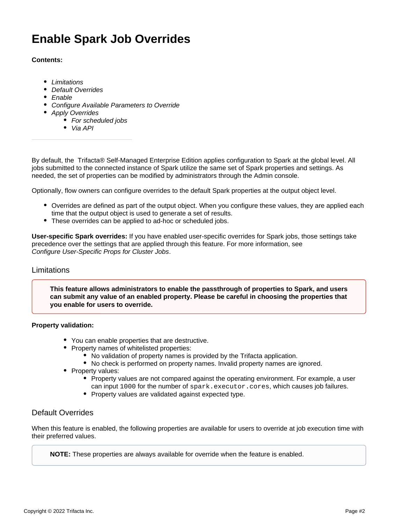# **Enable Spark Job Overrides**

## **Contents:**

- [Limitations](#page-1-0)
- [Default Overrides](#page-1-1)
- [Enable](#page-2-0)
- [Configure Available Parameters to Override](#page-3-0)
- [Apply Overrides](#page-3-1)
	- [For scheduled jobs](#page-4-0)
	- [Via API](#page-4-1)

By default, the Trifacta® Self-Managed Enterprise Edition applies configuration to Spark at the global level. All jobs submitted to the connected instance of Spark utilize the same set of Spark properties and settings. As needed, the set of properties can be modified by administrators through the Admin console.

Optionally, flow owners can configure overrides to the default Spark properties at the output object level.

- Overrides are defined as part of the output object. When you configure these values, they are applied each time that the output object is used to generate a set of results.
- These overrides can be applied to ad-hoc or scheduled jobs.

**User-specific Spark overrides:** If you have enabled user-specific overrides for Spark jobs, those settings take precedence over the settings that are applied through this feature. For more information, see [Configure User-Specific Props for Cluster Jobs](https://docs.trifacta.com/display/r076/Configure+User-Specific+Props+for+Cluster+Jobs).

### <span id="page-1-0"></span>Limitations

**This feature allows administrators to enable the passthrough of properties to Spark, and users can submit any value of an enabled property. Please be careful in choosing the properties that you enable for users to override.**

#### **Property validation:**

- You can enable properties that are destructive.
- Property names of whitelisted properties:
	- No validation of property names is provided by the Trifacta application.
	- No check is performed on property names. Invalid property names are ignored.
- Property values:
	- Property values are not compared against the operating environment. For example, a user can input 1000 for the number of spark.executor.cores, which causes job failures.
	- Property values are validated against expected type.

## <span id="page-1-1"></span>Default Overrides

When this feature is enabled, the following properties are available for users to override at job execution time with their preferred values.

**NOTE:** These properties are always available for override when the feature is enabled.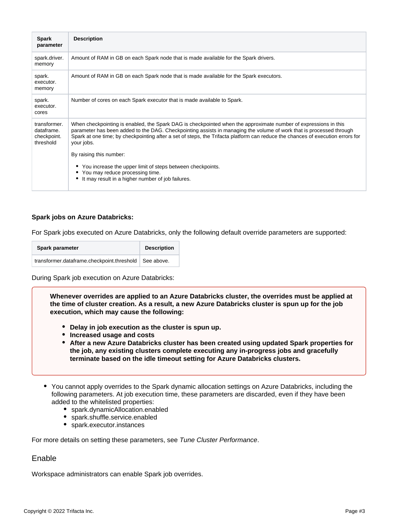| <b>Spark</b><br>parameter                              | <b>Description</b>                                                                                                                                                                                                                                                                                                                                                                     |
|--------------------------------------------------------|----------------------------------------------------------------------------------------------------------------------------------------------------------------------------------------------------------------------------------------------------------------------------------------------------------------------------------------------------------------------------------------|
| spark.driver.<br>memory                                | Amount of RAM in GB on each Spark node that is made available for the Spark drivers.                                                                                                                                                                                                                                                                                                   |
| spark.<br>executor.<br>memory                          | Amount of RAM in GB on each Spark node that is made available for the Spark executors.                                                                                                                                                                                                                                                                                                 |
| spark.<br>executor.<br>cores                           | Number of cores on each Spark executor that is made available to Spark.                                                                                                                                                                                                                                                                                                                |
| transformer.<br>dataframe.<br>checkpoint.<br>threshold | When checkpointing is enabled, the Spark DAG is checkpointed when the approximate number of expressions in this<br>parameter has been added to the DAG. Checkpointing assists in managing the volume of work that is processed through<br>Spark at one time; by checkpointing after a set of steps, the Trifacta platform can reduce the chances of execution errors for<br>your jobs. |
|                                                        | By raising this number:<br>• You increase the upper limit of steps between checkpoints.<br>• You may reduce processing time.<br>It may result in a higher number of job failures.                                                                                                                                                                                                      |

#### **Spark jobs on Azure Databricks:**

For Spark jobs executed on Azure Databricks, only the following default override parameters are supported:

| Spark parameter                                         | <b>Description</b> |
|---------------------------------------------------------|--------------------|
| transformer.dataframe.checkpoint.threshold   See above. |                    |

During Spark job execution on Azure Databricks:

**Whenever overrides are applied to an Azure Databricks cluster, the overrides must be applied at the time of cluster creation. As a result, a new Azure Databricks cluster is spun up for the job execution, which may cause the following:**

- **Delay in job execution as the cluster is spun up.**
- **Increased usage and costs**
- **After a new Azure Databricks cluster has been created using updated Spark properties for the job, any existing clusters complete executing any in-progress jobs and gracefully terminate based on the idle timeout setting for Azure Databricks clusters.**
- You cannot apply overrides to the Spark dynamic allocation settings on Azure Databricks, including the following parameters. At job execution time, these parameters are discarded, even if they have been added to the whitelisted properties:
	- spark.dynamicAllocation.enabled
	- spark.shuffle.service.enabled
	- spark.executor.instances

For more details on setting these parameters, see [Tune Cluster Performance](https://docs.trifacta.com/display/r076/Tune+Cluster+Performance).

## <span id="page-2-0"></span>Enable

Workspace administrators can enable Spark job overrides.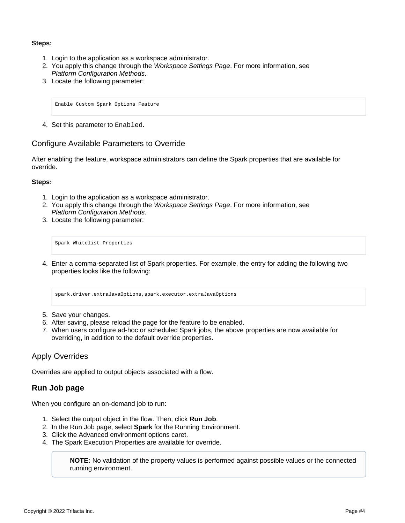### **Steps:**

- 1. Login to the application as a workspace administrator.
- 2. You apply this change through the [Workspace Settings Page](https://docs.trifacta.com/display/r076/Workspace+Settings+Page). For more information, see [Platform Configuration Methods](https://docs.trifacta.com/display/r076/Platform+Configuration+Methods).
- 3. Locate the following parameter:

Enable Custom Spark Options Feature

4. Set this parameter to Enabled.

## <span id="page-3-0"></span>Configure Available Parameters to Override

After enabling the feature, workspace administrators can define the Spark properties that are available for override.

#### **Steps:**

- 1. Login to the application as a workspace administrator.
- 2. You apply this change through the [Workspace Settings Page](https://docs.trifacta.com/display/r076/Workspace+Settings+Page). For more information, see [Platform Configuration Methods](https://docs.trifacta.com/display/r076/Platform+Configuration+Methods).
- 3. Locate the following parameter:

Spark Whitelist Properties

4. Enter a comma-separated list of Spark properties. For example, the entry for adding the following two properties looks like the following:

spark.driver.extraJavaOptions,spark.executor.extraJavaOptions

- 5. Save your changes.
- 6. After saving, please reload the page for the feature to be enabled.
- 7. When users configure ad-hoc or scheduled Spark jobs, the above properties are now available for overriding, in addition to the default override properties.

# <span id="page-3-1"></span>Apply Overrides

Overrides are applied to output objects associated with a flow.

# **Run Job page**

When you configure an on-demand job to run:

- 1. Select the output object in the flow. Then, click **Run Job**.
- 2. In the Run Job page, select **Spark** for the Running Environment.
- 3. Click the Advanced environment options caret.
- 4. The Spark Execution Properties are available for override.

**NOTE:** No validation of the property values is performed against possible values or the connected running environment.